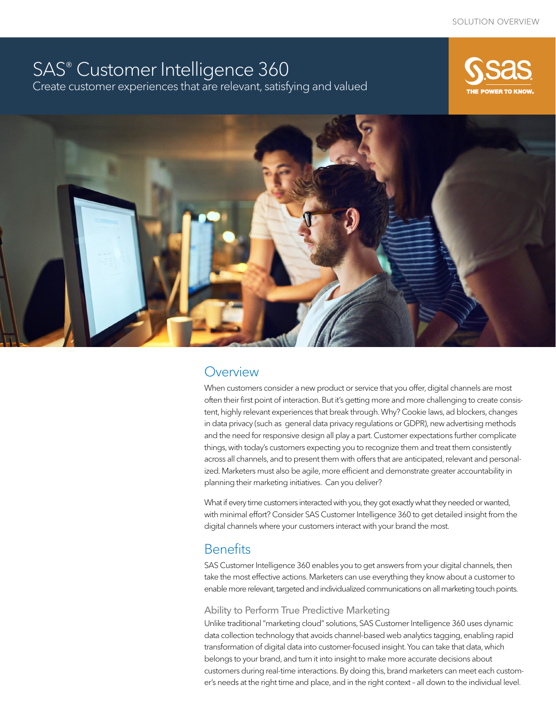# SAS® Customer Intelligence 360 Create customer experiences that are relevant, satisfying and valued





# **Overview**

When customers consider a new product or service that you offer, digital channels are most often their first point of interaction. But it's getting more and more challenging to create consistent, highly relevant experiences that break through. Why? Cookie laws, ad blockers, changes in data privacy (such as general data privacy regulations or GDPR), new advertising methods and the need for responsive design all play a part. Customer expectations further complicate things, with today's customers expecting you to recognize them and treat them consistently across all channels, and to present them with offers that are anticipated, relevant and personalized. Marketers must also be agile, more efficient and demonstrate greater accountability in planning their marketing initiatives. Can you deliver?

What if every time customers interacted with you, they got exactly what they needed or wanted, with minimal effort? Consider SAS Customer Intelligence 360 to get detailed insight from the digital channels where your customers interact with your brand the most.

# **Benefits**

SAS Customer Intelligence 360 enables you to get answers from your digital channels, then take the most effective actions. Marketers can use everything they know about a customer to enable more relevant, targeted and individualized communications on all marketing touch points.

#### Ability to Perform True Predictive Marketing

Unlike traditional "marketing cloud" solutions, SAS Customer Intelligence 360 uses dynamic data collection technology that avoids channel-based web analytics tagging, enabling rapid transformation of digital data into customer-focused insight. You can take that data, which belongs to your brand, and turn it into insight to make more accurate decisions about customers during real-time interactions. By doing this, brand marketers can meet each customer's needs at the right time and place, and in the right context – all down to the individual level.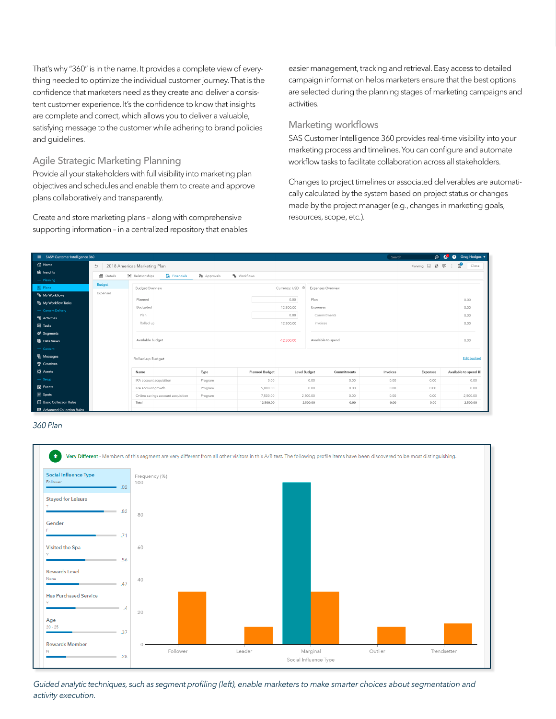That's why "360" is in the name. It provides a complete view of everything needed to optimize the individual customer journey. That is the confidence that marketers need as they create and deliver a consistent customer experience. It's the confidence to know that insights are complete and correct, which allows you to deliver a valuable, satisfying message to the customer while adhering to brand policies and guidelines.

#### Agile Strategic Marketing Planning

Provide all your stakeholders with full visibility into marketing plan objectives and schedules and enable them to create and approve plans collaboratively and transparently.

Create and store marketing plans – along with comprehensive supporting information – in a centralized repository that enables

easier management, tracking and retrieval. Easy access to detailed campaign information helps marketers ensure that the best options are selected during the planning stages of marketing campaigns and activities.

#### Marketing workflows

SAS Customer Intelligence 360 provides real-time visibility into your marketing process and timelines. You can configure and automate workflow tasks to facilitate collaboration across all stakeholders.

Changes to project timelines or associated deliverables are automatically calculated by the system based on project status or changes made by the project manager (e.g., changes in marketing goals, resources, scope, etc.).



*360 Plan*



*Guided analytic techniques, such as segment profiling (left), enable marketers to make smarter choices about segmentation and activity execution.*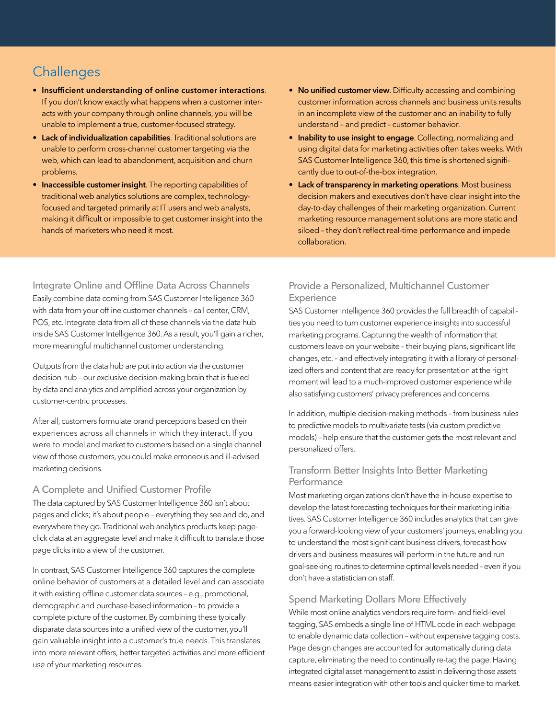# **Challenges**

- Insufficient understanding of online customer interactions. If you don't know exactly what happens when a customer interacts with your company through online channels, you will be unable to implement a true, customer-focused strategy.
- Lack of individualization capabilities. Traditional solutions are unable to perform cross-channel customer targeting via the web, which can lead to abandonment, acquisition and churn problems.
- Inaccessible customer insight. The reporting capabilities of traditional web analytics solutions are complex, technologyfocused and targeted primarily at IT users and web analysts, making it difficult or impossible to get customer insight into the hands of marketers who need it most.
- No unified customer view. Difficulty accessing and combining customer information across channels and business units results in an incomplete view of the customer and an inability to fully understand – and predict – customer behavior.
- Inability to use insight to engage. Collecting, normalizing and using digital data for marketing activities often takes weeks. With SAS Customer Intelligence 360, this time is shortened significantly due to out-of-the-box integration.
- Lack of transparency in marketing operations. Most business decision makers and executives don't have clear insight into the day-to-day challenges of their marketing organization. Current marketing resource management solutions are more static and siloed – they don't reflect real-time performance and impede collaboration.

### Integrate Online and Offline Data Across Channels

Easily combine data coming from SAS Customer Intelligence 360 with data from your offline customer channels – call center, CRM, POS, etc. Integrate data from all of these channels via the data hub inside SAS Customer Intelligence 360. As a result, you'll gain a richer, more meaningful multichannel customer understanding.

Outputs from the data hub are put into action via the customer decision hub – our exclusive decision-making brain that is fueled by data and analytics and amplified across your organization by customer-centric processes.

After all, customers formulate brand perceptions based on their experiences across all channels in which they interact. If you were to model and market to customers based on a single channel view of those customers, you could make erroneous and ill-advised marketing decisions.

# A Complete and Unified Customer Profile

The data captured by SAS Customer Intelligence 360 isn't about pages and clicks; it's about people – everything they see and do, and everywhere they go. Traditional web analytics products keep pageclick data at an aggregate level and make it difficult to translate those page clicks into a view of the customer.

In contrast, SAS Customer Intelligence 360 captures the complete online behavior of customers at a detailed level and can associate it with existing offline customer data sources – e.g., promotional, demographic and purchase-based information – to provide a complete picture of the customer. By combining these typically disparate data sources into a unified view of the customer, you'll gain valuable insight into a customer's true needs. This translates into more relevant offers, better targeted activities and more efficient use of your marketing resources.

### Provide a Personalized, Multichannel Customer **Experience**

SAS Customer Intelligence 360 provides the full breadth of capabilities you need to turn customer experience insights into successful marketing programs. Capturing the wealth of information that customers leave on your website – their buying plans, significant life changes, etc. – and effectively integrating it with a library of personalized offers and content that are ready for presentation at the right moment will lead to a much-improved customer experience while also satisfying customers' privacy preferences and concerns.

In addition, multiple decision-making methods – from business rules to predictive models to multivariate tests (via custom predictive models) – help ensure that the customer gets the most relevant and personalized offers.

### Transform Better Insights Into Better Marketing **Performance**

Most marketing organizations don't have the in-house expertise to develop the latest forecasting techniques for their marketing initiatives. SAS Customer Intelligence 360 includes analytics that can give you a forward-looking view of your customers' journeys, enabling you to understand the most significant business drivers, forecast how drivers and business measures will perform in the future and run goal-seeking routines to determine optimal levels needed – even if you don't have a statistician on staff.

# Spend Marketing Dollars More Effectively

While most online analytics vendors require form- and field-level tagging, SAS embeds a single line of HTML code in each webpage to enable dynamic data collection – without expensive tagging costs. Page design changes are accounted for automatically during data capture, eliminating the need to continually re-tag the page. Having integrated digital asset management to assist in delivering those assets means easier integration with other tools and quicker time to market.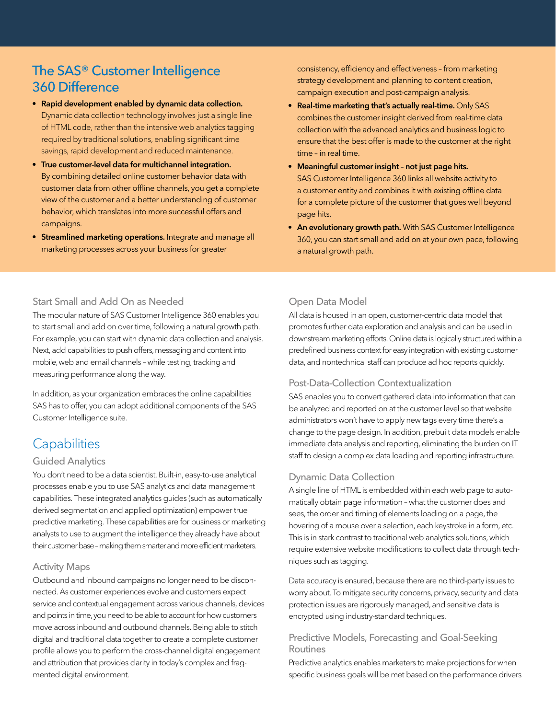# The SAS® Customer Intelligence 360 Difference

- Rapid development enabled by dynamic data collection. Dynamic data collection technology involves just a single line of HTML code, rather than the intensive web analytics tagging required by traditional solutions, enabling significant time savings, rapid development and reduced maintenance.
- True customer-level data for multichannel integration. By combining detailed online customer behavior data with customer data from other offline channels, you get a complete view of the customer and a better understanding of customer behavior, which translates into more successful offers and campaigns.
- Streamlined marketing operations. Integrate and manage all marketing processes across your business for greater

consistency, efficiency and effectiveness – from marketing strategy development and planning to content creation, campaign execution and post-campaign analysis.

- Real-time marketing that's actually real-time. Only SAS combines the customer insight derived from real-time data collection with the advanced analytics and business logic to ensure that the best offer is made to the customer at the right time – in real time.
- Meaningful customer insight not just page hits. SAS Customer Intelligence 360 links all website activity to a customer entity and combines it with existing offline data for a complete picture of the customer that goes well beyond page hits.
- An evolutionary growth path. With SAS Customer Intelligence 360, you can start small and add on at your own pace, following a natural growth path.

# Start Small and Add On as Needed

The modular nature of SAS Customer Intelligence 360 enables you to start small and add on over time, following a natural growth path. For example, you can start with dynamic data collection and analysis. Next, add capabilities to push offers, messaging and content into mobile, web and email channels – while testing, tracking and measuring performance along the way.

In addition, as your organization embraces the online capabilities SAS has to offer, you can adopt additional components of the SAS Customer Intelligence suite.

# **Capabilities**

#### Guided Analytics

You don't need to be a data scientist. Built-in, easy-to-use analytical processes enable you to use SAS analytics and data management capabilities. These integrated analytics guides (such as automatically derived segmentation and applied optimization) empower true predictive marketing. These capabilities are for business or marketing analysts to use to augment the intelligence they already have about their customer base – making them smarter and more efficient marketers.

#### Activity Maps

Outbound and inbound campaigns no longer need to be disconnected. As customer experiences evolve and customers expect service and contextual engagement across various channels, devices and points in time, you need to be able to account for how customers move across inbound and outbound channels. Being able to stitch digital and traditional data together to create a complete customer profile allows you to perform the cross-channel digital engagement and attribution that provides clarity in today's complex and fragmented digital environment.

# Open Data Model

All data is housed in an open, customer-centric data model that promotes further data exploration and analysis and can be used in downstream marketing efforts. Online data is logically structured within a predefined business context for easy integration with existing customer data, and nontechnical staff can produce ad hoc reports quickly.

# Post-Data-Collection Contextualization

SAS enables you to convert gathered data into information that can be analyzed and reported on at the customer level so that website administrators won't have to apply new tags every time there's a change to the page design. In addition, prebuilt data models enable immediate data analysis and reporting, eliminating the burden on IT staff to design a complex data loading and reporting infrastructure.

#### Dynamic Data Collection

A single line of HTML is embedded within each web page to automatically obtain page information – what the customer does and sees, the order and timing of elements loading on a page, the hovering of a mouse over a selection, each keystroke in a form, etc. This is in stark contrast to traditional web analytics solutions, which require extensive website modifications to collect data through techniques such as tagging.

Data accuracy is ensured, because there are no third-party issues to worry about. To mitigate security concerns, privacy, security and data protection issues are rigorously managed, and sensitive data is encrypted using industry-standard techniques.

# Predictive Models, Forecasting and Goal-Seeking Routines

Predictive analytics enables marketers to make projections for when specific business goals will be met based on the performance drivers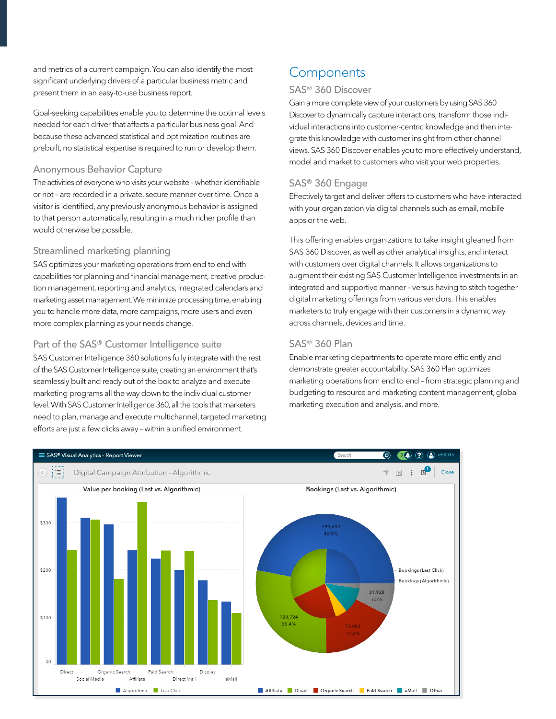and metrics of a current campaign. You can also identify the most significant underlying drivers of a particular business metric and present them in an easy-to-use business report.

Goal-seeking capabilities enable you to determine the optimal levels needed for each driver that affects a particular business goal. And because these advanced statistical and optimization routines are prebuilt, no statistical expertise is required to run or develop them.

#### Anonymous Behavior Capture

The activities of everyone who visits your website – whether identifiable or not – are recorded in a private, secure manner over time. Once a visitor is identified, any previously anonymous behavior is assigned to that person automatically, resulting in a much richer profile than would otherwise be possible.

#### Streamlined marketing planning

SAS optimizes your marketing operations from end to end with capabilities for planning and financial management, creative production management, reporting and analytics, integrated calendars and marketing asset management. We minimize processing time, enabling you to handle more data, more campaigns, more users and even more complex planning as your needs change.

#### Part of the SAS® Customer Intelligence suite

SAS Customer Intelligence 360 solutions fully integrate with the rest of the SAS Customer Intelligence suite, creating an environment that's seamlessly built and ready out of the box to analyze and execute marketing programs all the way down to the individual customer level. With SAS Customer Intelligence 360, all the tools that marketers need to plan, manage and execute multichannel, targeted marketing efforts are just a few clicks away – within a unified environment.

# **Components**

### SAS® 360 Discover

Gain a more complete view of your customers by using SAS 360 Discover to dynamically capture interactions, transform those individual interactions into customer-centric knowledge and then integrate this knowledge with customer insight from other channel views. SAS 360 Discover enables you to more effectively understand, model and market to customers who visit your web properties.

### SAS® 360 Engage

Effectively target and deliver offers to customers who have interacted with your organization via digital channels such as email, mobile apps or the web.

This offering enables organizations to take insight gleaned from SAS 360 Discover, as well as other analytical insights, and interact with customers over digital channels. It allows organizations to augment their existing SAS Customer Intelligence investments in an integrated and supportive manner – versus having to stitch together digital marketing offerings from various vendors. This enables marketers to truly engage with their customers in a dynamic way across channels, devices and time.

# SAS® 360 Plan

Enable marketing departments to operate more efficiently and demonstrate greater accountability. SAS 360 Plan optimizes marketing operations from end to end – from strategic planning and budgeting to resource and marketing content management, global marketing execution and analysis, and more.